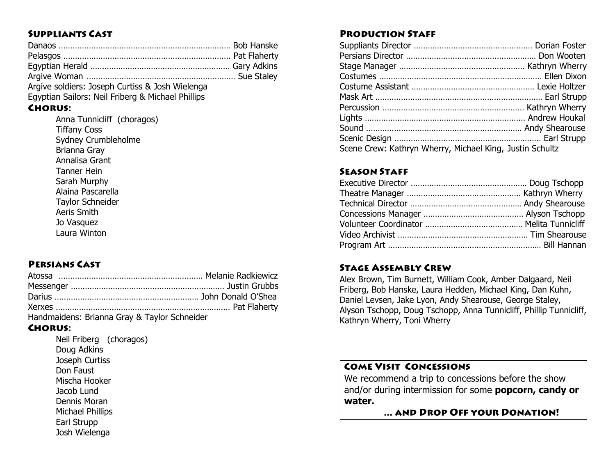### **SUPPLIANTS CAST**

| Argive soldiers: Joseph Curtiss & Josh Wielenga   |  |
|---------------------------------------------------|--|
| Egyptian Sailors: Neil Friberg & Michael Phillips |  |

# **CHORUS:**

Anna Tunnicliff (choragos) Tiffany Coss Sydney Crumbleholme Brianna Gray Annalisa Grant Tanner Hein Sarah Murphy Alaina Pascarella Taylor Schneider Aeris Smith Jo Vasquez Laura Winton

# **PERSIANS CAST**

| Handmaidens: Brianna Gray & Taylor Schneider |  |
|----------------------------------------------|--|

#### **CHORUS:**

Neil Friberg (choragos) Doug Adkins Joseph Curtiss Don Faust Mischa Hooker Jacob Lund Dennis Moran Michael Phillips Earl Strupp Josh Wielenga

### **PRODUCTION STAFF**

| Scene Crew: Kathryn Wherry, Michael King, Justin Schultz |  |
|----------------------------------------------------------|--|

# **SEASON STAFF**

#### **STAGE ASSEMBLY CREW**

Alex Brown, Tim Burnett, William Cook, Amber Dalgaard, Neil Friberg, Bob Hanske, Laura Hedden, Michael King, Dan Kuhn, Daniel Levsen, Jake Lyon, Andy Shearouse, George Staley, Alyson Tschopp, Doug Tschopp, Anna Tunnicliff, Phillip Tunnicliff, Kathryn Wherry, Toni Wherry

# **COME VISIT CONCESSIONS**

We recommend a trip to concessions before the show and/or during intermission for some **popcorn, candy or water.**

... AND DROP OFF YOUR DONATION!